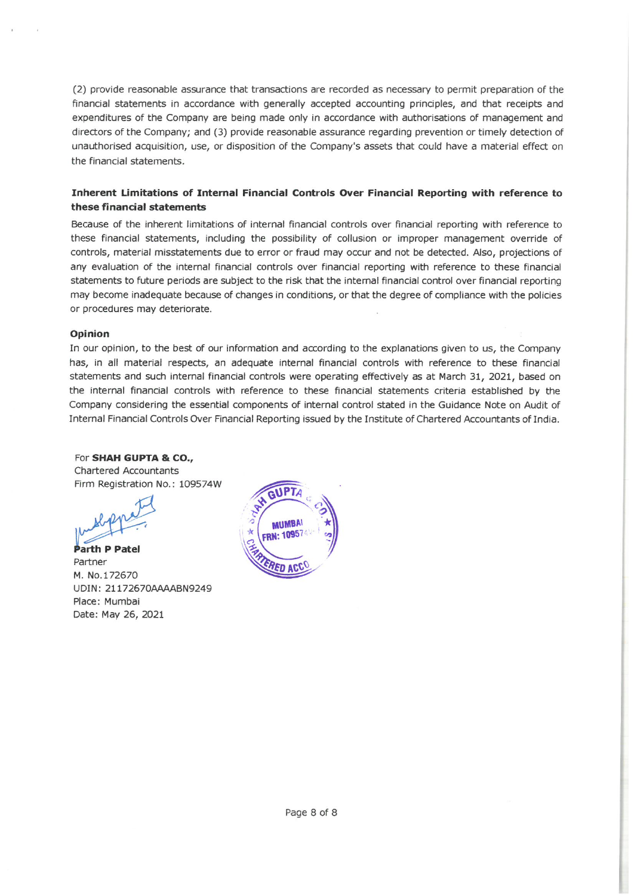(2) provide reasonable assurance that transactions are recorded as necessary to permit preparation of the financial statements in accordance with generally accepted accounting principles, and that receipts and expenditures of the Company are being made only in accordance with authorisations of management and directors of the Company; and (3) provide reasonable assurance regarding prevention or timely detection of unauthorised acquisition, use, or disposition of the Company's assets that could have a material effect on the financial statements.

### Inherent Limitations of Internal Financial Controls Over Financial Reporting with reference to these financial statements

Because of the inherent limitations of internal financial controls over financial reporting with reference to these financial statements, including the possibility of collusion or improper management override of controls, material misstatements due to error or fraud may occur and not be detected. Also, projections of any evaluation of the internal financial controls over financial reporting with reference to these financial statements to future periods are subject to the risk that the internal financial control over financial reporting may become inadequate because of changes in conditions, or that the degree of compliance with the policies or procedures may deteriorate.

### Opinion

In our opinion, to the best of our information and according to the explanations given to us, the Company has, in all material respects, an adequate internal financial controls with reference to these financial statements and such internal financial controls were operating effectively as at March 31, 2021, based on the internal financial controls with reference to these financial statements criteria established by the Company considering the essential components of internal control stated in the Guidance Note on Audit of Internal Financial Controls Over Financial Reporting issued by the Institute of Chartered Accountants of India.

### For SHAH GUPTA & CO.,

Chartered Accountants Firm Registration No.: 109574W

th P Patel Partner M. No.172670 UDIN: 21172670AAAABN9249 Place: Mumbai Date: May 26, 2021

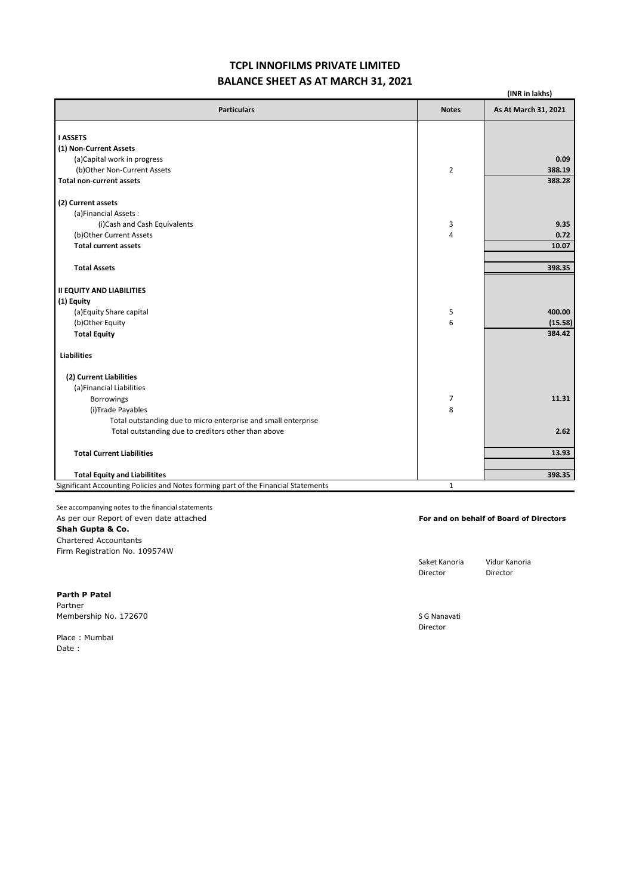# **TCPL INNOFILMS PRIVATE LIMITED BALANCE SHEET AS AT MARCH 31, 2021**

|                                                                                    |                | (INR in lakhs)       |
|------------------------------------------------------------------------------------|----------------|----------------------|
| <b>Particulars</b>                                                                 | <b>Notes</b>   | As At March 31, 2021 |
| <b>I ASSETS</b>                                                                    |                |                      |
| (1) Non-Current Assets                                                             |                |                      |
| (a)Capital work in progress                                                        |                | 0.09                 |
| (b)Other Non-Current Assets                                                        | $\overline{2}$ | 388.19               |
| <b>Total non-current assets</b>                                                    |                | 388.28               |
| (2) Current assets                                                                 |                |                      |
| (a)Financial Assets:                                                               |                |                      |
| (i)Cash and Cash Equivalents                                                       | 3              | 9.35                 |
| (b)Other Current Assets                                                            | 4              | 0.72                 |
| <b>Total current assets</b>                                                        |                | 10.07                |
| <b>Total Assets</b>                                                                |                | 398.35               |
| <b>II EQUITY AND LIABILITIES</b>                                                   |                |                      |
| (1) Equity                                                                         |                |                      |
| (a) Equity Share capital                                                           | 5              | 400.00               |
| (b)Other Equity                                                                    | 6              | (15.58)              |
| <b>Total Equity</b>                                                                |                | 384.42               |
| <b>Liabilities</b>                                                                 |                |                      |
| (2) Current Liabilities                                                            |                |                      |
| (a)Financial Liabilities                                                           |                |                      |
| Borrowings                                                                         | 7              | 11.31                |
| (i)Trade Payables                                                                  | 8              |                      |
| Total outstanding due to micro enterprise and small enterprise                     |                |                      |
| Total outstanding due to creditors other than above                                |                | 2.62                 |
| <b>Total Current Liabilities</b>                                                   |                | 13.93                |
| <b>Total Equity and Liabilitites</b>                                               |                | 398.35               |
| Significant Accounting Policies and Notes forming part of the Financial Statements | $\mathbf{1}$   |                      |

See accompanying notes to the financial statements As per our Report of even date attached **For and on behalf of Board of Directors Shah Gupta & Co.** Chartered Accountants Firm Registration No. 109574W

Director Director

Saket Kanoria Vidur Kanoria

Director

**Parth P Patel** Partner Membership No. 172670 Superior Contract of the Membership No. 172670

Place : Mumbai Date :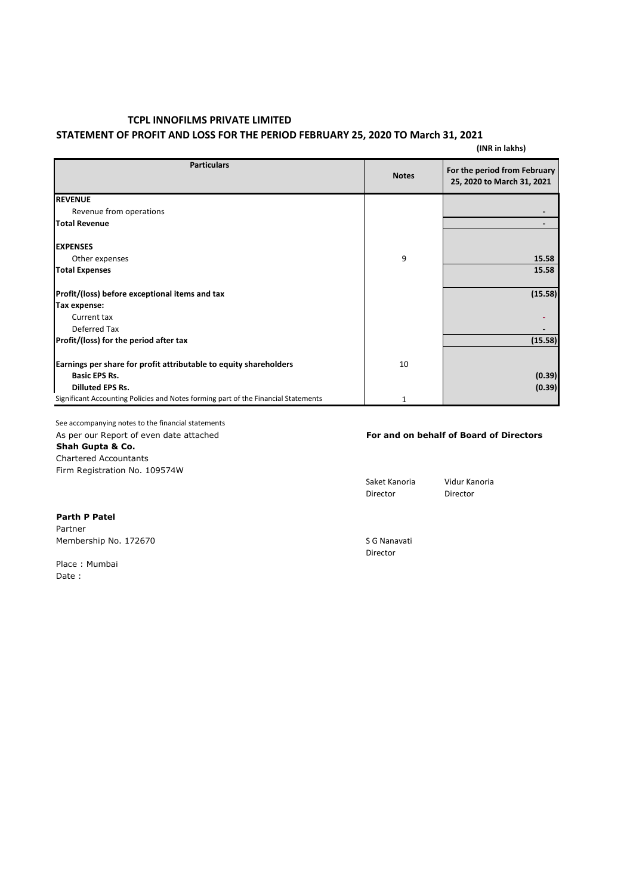### **STATEMENT OF PROFIT AND LOSS FOR THE PERIOD FEBRUARY 25, 2020 TO March 31, 2021**

#### **(INR in lakhs)**

| <b>Particulars</b>                                                                 | <b>Notes</b> | For the period from February<br>25, 2020 to March 31, 2021 |
|------------------------------------------------------------------------------------|--------------|------------------------------------------------------------|
| <b>REVENUE</b>                                                                     |              |                                                            |
| Revenue from operations                                                            |              |                                                            |
| <b>Total Revenue</b>                                                               |              |                                                            |
| <b>EXPENSES</b>                                                                    |              |                                                            |
| Other expenses                                                                     | 9            | 15.58                                                      |
| <b>Total Expenses</b>                                                              |              | 15.58                                                      |
| Profit/(loss) before exceptional items and tax                                     |              | (15.58)                                                    |
| Tax expense:                                                                       |              |                                                            |
| Current tax                                                                        |              |                                                            |
| Deferred Tax                                                                       |              |                                                            |
| Profit/(loss) for the period after tax                                             |              | (15.58)                                                    |
| Earnings per share for profit attributable to equity shareholders                  | 10           |                                                            |
| <b>Basic EPS Rs.</b>                                                               |              | (0.39)                                                     |
| <b>Dilluted EPS Rs.</b>                                                            |              | (0.39)                                                     |
| Significant Accounting Policies and Notes forming part of the Financial Statements |              |                                                            |

See accompanying notes to the financial statements

**Shah Gupta & Co.**

Chartered Accountants Firm Registration No. 109574W

### As per our Report of even date attached **For and on behalf of Board of Directors**

Director

Saket Kanoria Vidur Kanoria<br>Director Director

**Parth P Patel** Partner Membership No. 172670 SG Nanavati

Place : Mumbai Date :

Director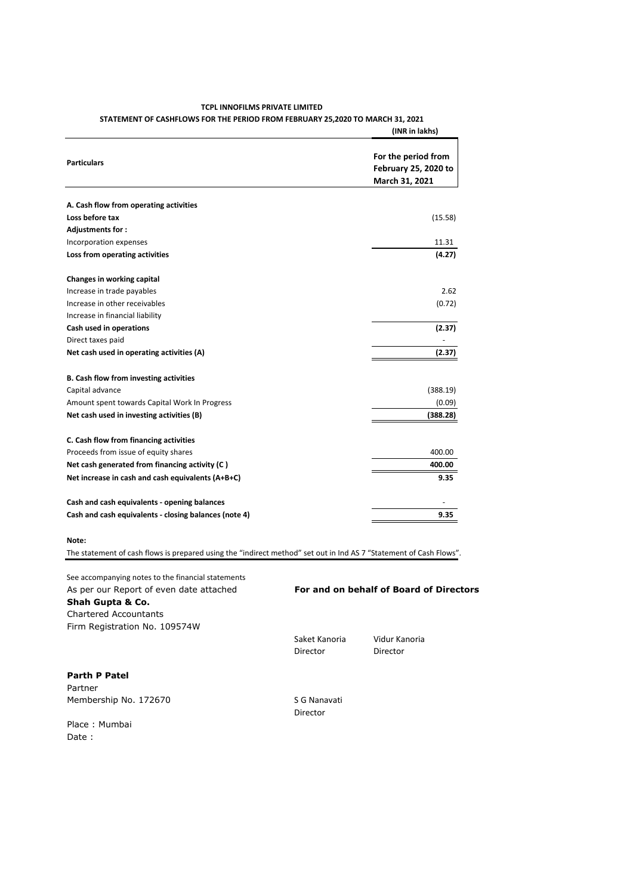|                                                       | (INR in lakhs)                                                       |
|-------------------------------------------------------|----------------------------------------------------------------------|
| <b>Particulars</b>                                    | For the period from<br><b>February 25, 2020 to</b><br>March 31, 2021 |
| A. Cash flow from operating activities                |                                                                      |
| Loss before tax                                       | (15.58)                                                              |
| Adjustments for :                                     |                                                                      |
| Incorporation expenses                                | 11.31                                                                |
| Loss from operating activities                        | (4.27)                                                               |
| Changes in working capital                            |                                                                      |
| Increase in trade payables                            | 2.62                                                                 |
| Increase in other receivables                         | (0.72)                                                               |
| Increase in financial liability                       |                                                                      |
| Cash used in operations                               | (2.37)                                                               |
| Direct taxes paid                                     |                                                                      |
| Net cash used in operating activities (A)             | (2.37)                                                               |
| B. Cash flow from investing activities                |                                                                      |
| Capital advance                                       | (388.19)                                                             |
| Amount spent towards Capital Work In Progress         | (0.09)                                                               |
| Net cash used in investing activities (B)             | (388.28)                                                             |
| C. Cash flow from financing activities                |                                                                      |
| Proceeds from issue of equity shares                  | 400.00                                                               |
| Net cash generated from financing activity (C)        | 400.00                                                               |
| Net increase in cash and cash equivalents (A+B+C)     | 9.35                                                                 |
| Cash and cash equivalents - opening balances          |                                                                      |
| Cash and cash equivalents - closing balances (note 4) | 9.35                                                                 |
| Note:                                                 |                                                                      |

The statement of cash flows is prepared using the "indirect method" set out in Ind AS 7 "Statement of Cash Flows".

#### **TCPL INNOFILMS PRIVATE LIMITED STATEMENT OF CASHFLOWS FOR THE PERIOD FROM FEBRUARY 25,2020 TO MARCH 31, 2021**

See accompanying notes to the financial statements As per our Report of even date attached **For and on behalf of Board of Directors Shah Gupta & Co.** Chartered Accountants Firm Registration No. 109574W

Saket Kanoria Vidur Kanoria Director Director

**Parth P Patel**

Partner Membership No. 172670 SG Nanavati

Place : Mumbai Date :

Director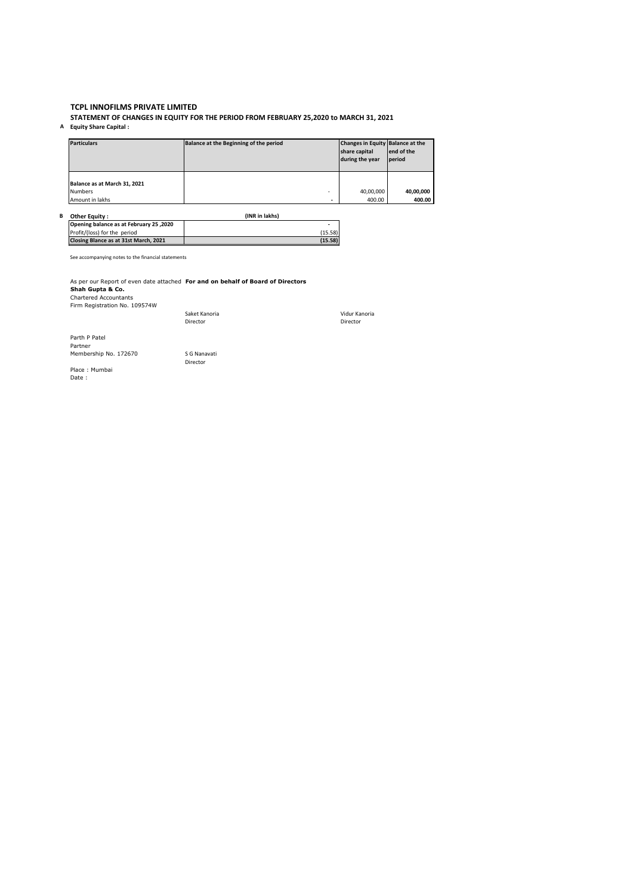**STATEMENT OF CHANGES IN EQUITY FOR THE PERIOD FROM FEBRUARY 25,2020 to MARCH 31, 2021 A Equity Share Capital :**

| <b>Particulars</b>                             | Balance at the Beginning of the period | Changes in Equity Balance at the<br>share capital<br>during the year | lend of the<br>period |
|------------------------------------------------|----------------------------------------|----------------------------------------------------------------------|-----------------------|
| Balance as at March 31, 2021<br><b>Numbers</b> | ۰                                      | 40,00,000                                                            | 40,00,000             |
| Amount in lakhs                                | -                                      | 400.00                                                               | 400.00                |

| в | Other Equity :                          | (INR in lakhs) |
|---|-----------------------------------------|----------------|
|   | Opening balance as at February 25, 2020 | -              |
|   | Profit/(loss) for the period            | (15.58)        |
|   | Closing Blance as at 31st March. 2021   | (15.58)        |

See accompanying notes to the financial statements

As per our Report of even date attached **For and on behalf of Board of Directors**<br>**Shah Gupta & Co.**<br>Chartered Accountants<br>Firm Registration No. 109574W<br>Saket Kanoria Saket Kanoria

Director

| Saket Kanoria | Vidur Kanori |
|---------------|--------------|
| Director      | Director     |

Parth P Patel Partner Membership No. 172670 S G Nanavati

Place : Mumbai Date :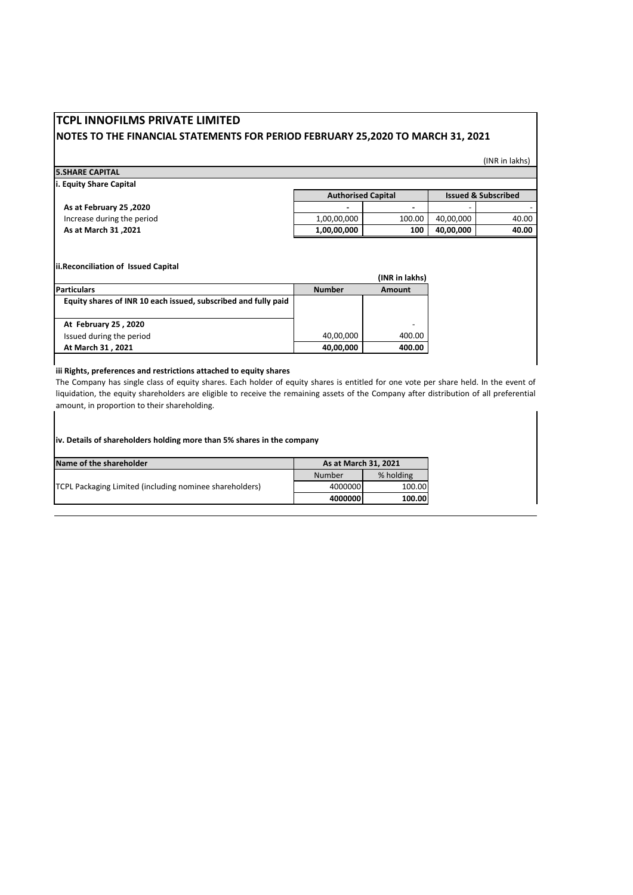# **TCPL INNOFILMS PRIVATE LIMITED NOTES TO THE FINANCIAL STATEMENTS FOR PERIOD FEBRUARY 25,2020 TO MARCH 31, 2021**

(INR in lakhs)

| <b>5.SHARE CAPITAL</b>  |  |
|-------------------------|--|
| i. Equity Share Capital |  |

|                            | <b>Authorised Capital</b> |        | <b>Issued &amp; Subscribed</b> |       |
|----------------------------|---------------------------|--------|--------------------------------|-------|
| As at February 25, 2020    | $\sim$                    |        | -                              |       |
| Increase during the period | 1.00.00.000               | 100.00 | 40.00.000                      | 40.00 |
| As at March 31, 2021       | 1,00,00,000               | 100    | 40.00.000                      | 40.00 |

**ii.Reconciliation of Issued Capital**

|                                                                |               | (INR in lakhs) |
|----------------------------------------------------------------|---------------|----------------|
| <b>Particulars</b>                                             | <b>Number</b> | Amount         |
| Equity shares of INR 10 each issued, subscribed and fully paid |               |                |
|                                                                |               |                |
| At February 25, 2020                                           |               |                |
| Issued during the period                                       | 40,00,000     | 400.00         |
| At March 31, 2021                                              | 40,00,000     | 400.00         |

#### **iii Rights, preferences and restrictions attached to equity shares**

The Company has single class of equity shares. Each holder of equity shares is entitled for one vote per share held. In the event of liquidation, the equity shareholders are eligible to receive the remaining assets of the Company after distribution of all preferential amount, in proportion to their shareholding.

**iv. Details of shareholders holding more than 5% shares in the company**

| Name of the shareholder                                 | As at March 31, 2021 |           |
|---------------------------------------------------------|----------------------|-----------|
| TCPL Packaging Limited (including nominee shareholders) | Number               | % holding |
|                                                         | 4000000              | 100.00    |
|                                                         | 4000000              | 100.00    |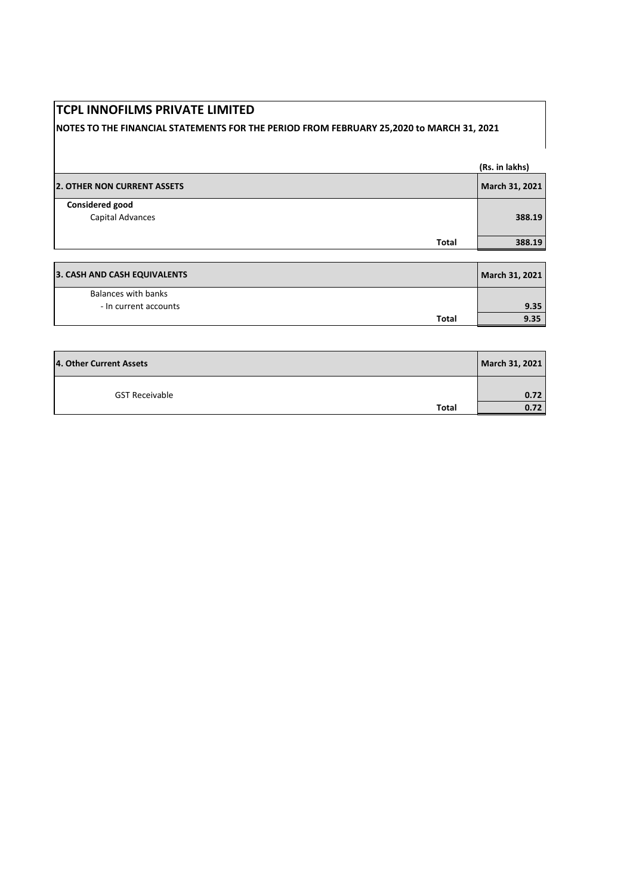# **NOTES TO THE FINANCIAL STATEMENTS FOR THE PERIOD FROM FEBRUARY 25,2020 to MARCH 31, 2021**

|                                            |       | (Rs. in lakhs) |
|--------------------------------------------|-------|----------------|
| <b>2. OTHER NON CURRENT ASSETS</b>         |       | March 31, 2021 |
| <b>Considered good</b><br>Capital Advances |       | 388.19         |
|                                            | Total | 388.19         |
|                                            |       |                |

| 3. CASH AND CASH EQUIVALENTS |       | March 31, 2021 |
|------------------------------|-------|----------------|
| Balances with banks          |       |                |
| - In current accounts        |       | 9.35           |
|                              | Total | 9.35           |

| 4. Other Current Assets | March 31, 2021 |
|-------------------------|----------------|
| <b>GST Receivable</b>   | 0.72           |
| Total                   | 0.72           |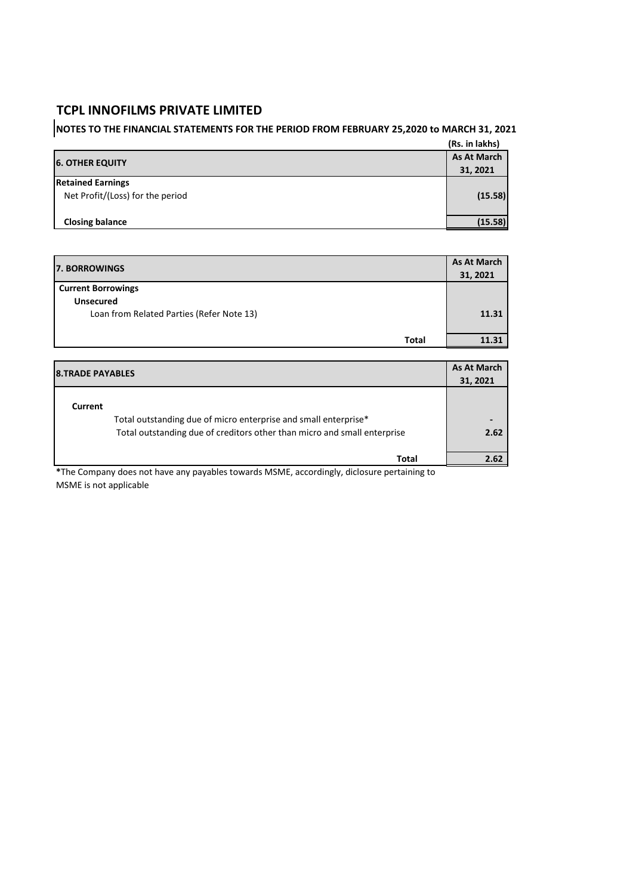# **NOTES TO THE FINANCIAL STATEMENTS FOR THE PERIOD FROM FEBRUARY 25,2020 to MARCH 31, 2021**

|                                  | (Rs. in lakhs)     |
|----------------------------------|--------------------|
| <b>6. OTHER EQUITY</b>           | <b>As At March</b> |
|                                  | 31, 2021           |
| <b>Retained Earnings</b>         |                    |
| Net Profit/(Loss) for the period | (15.58)            |
|                                  |                    |
| <b>Closing balance</b>           | (15.58)            |

| <b>7. BORROWINGS</b>                      |       |
|-------------------------------------------|-------|
|                                           |       |
| <b>Unsecured</b>                          |       |
| Loan from Related Parties (Refer Note 13) | 11.31 |
|                                           |       |
| <b>Total</b>                              | 11.31 |

| <b>8.TRADE PAYABLES</b> |                                                                          | <b>As At March</b> |
|-------------------------|--------------------------------------------------------------------------|--------------------|
|                         |                                                                          | 31, 2021           |
| Current                 |                                                                          |                    |
|                         | Total outstanding due of micro enterprise and small enterprise*          |                    |
|                         | Total outstanding due of creditors other than micro and small enterprise | 2.62               |
|                         | Total                                                                    | 2.62               |

**\***The Company does not have any payables towards MSME, accordingly, diclosure pertaining to MSME is not applicable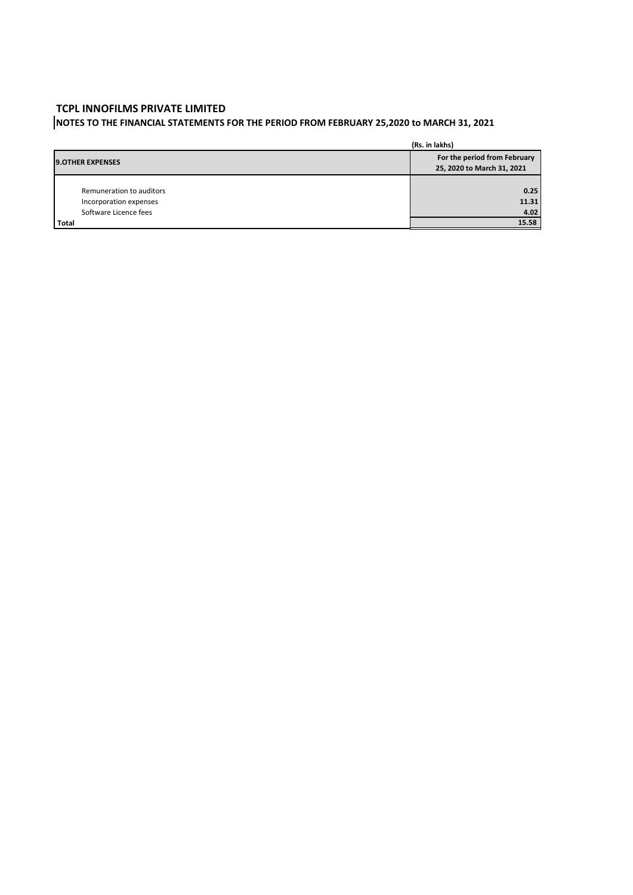# **NOTES TO THE FINANCIAL STATEMENTS FOR THE PERIOD FROM FEBRUARY 25,2020 to MARCH 31, 2021**

|                          | (Rs. in lakhs)                                             |
|--------------------------|------------------------------------------------------------|
| <b>9.OTHER EXPENSES</b>  | For the period from February<br>25, 2020 to March 31, 2021 |
| Remuneration to auditors | 0.25                                                       |
|                          |                                                            |
| Incorporation expenses   | 11.31                                                      |
| Software Licence fees    | 4.02                                                       |
| Total                    | 15.58                                                      |